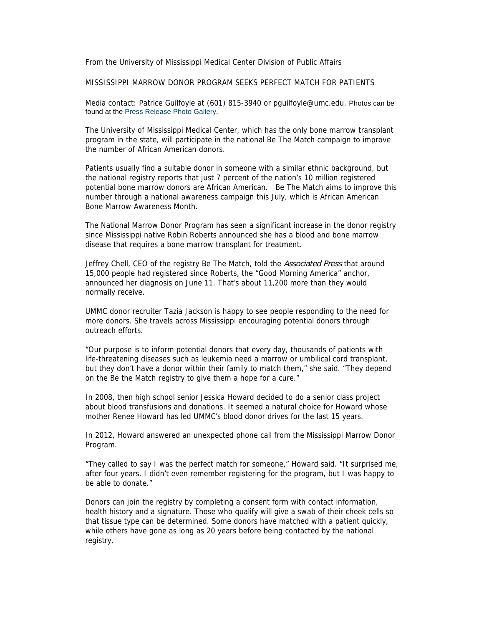From the University of Mississippi Medical Center Division of Public Affairs

MISSISSIPPI MARROW DONOR PROGRAM SEEKS PERFECT MATCH FOR PATIENTS

Media contact: Patrice Guilfoyle at (601) 815-3940 or pguilfoyle@umc.edu. Photos can be found at the Press Release Photo Gallery.

The University of Mississippi Medical Center, which has the only bone marrow transplant program in the state, will participate in the national Be The Match campaign to improve the number of African American donors.

Patients usually find a suitable donor in someone with a similar ethnic background, but the national registry reports that just 7 percent of the nation's 10 million registered potential bone marrow donors are African American. Be The Match aims to improve this number through a national awareness campaign this July, which is African American Bone Marrow Awareness Month.

The National Marrow Donor Program has seen a significant increase in the donor registry since Mississippi native Robin Roberts announced she has a blood and bone marrow disease that requires a bone marrow transplant for treatment.

Jeffrey Chell, CEO of the registry Be The Match, told the Associated Press that around 15,000 people had registered since Roberts, the "Good Morning America" anchor, announced her diagnosis on June 11. That's about 11,200 more than they would normally receive.

UMMC donor recruiter Tazia Jackson is happy to see people responding to the need for more donors. She travels across Mississippi encouraging potential donors through outreach efforts.

"Our purpose is to inform potential donors that every day, thousands of patients with life-threatening diseases such as leukemia need a marrow or umbilical cord transplant, but they don't have a donor within their family to match them," she said. "They depend on the Be the Match registry to give them a hope for a cure."

In 2008, then high school senior Jessica Howard decided to do a senior class project about blood transfusions and donations. It seemed a natural choice for Howard whose mother Renee Howard has led UMMC's blood donor drives for the last 15 years.

In 2012, Howard answered an unexpected phone call from the Mississippi Marrow Donor Program.

"They called to say I was the perfect match for someone," Howard said. "It surprised me, after four years. I didn't even remember registering for the program, but I was happy to be able to donate."

Donors can join the registry by completing a consent form with contact information, health history and a signature. Those who qualify will give a swab of their cheek cells so that tissue type can be determined. Some donors have matched with a patient quickly, while others have gone as long as 20 years before being contacted by the national registry.